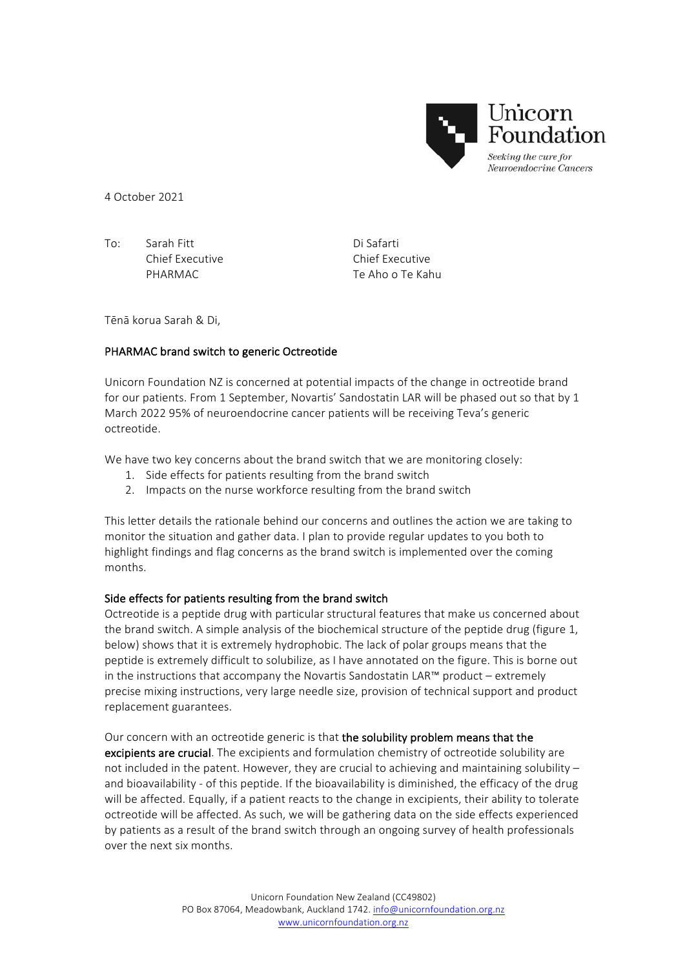

4 October 2021

To: Sarah Fitt Di Safarti

Chief Executive Chief Executive PHARMAC Te Aho o Te Kahu

Tēnā korua Sarah & Di.

## PHARMAC brand switch to generic Octreotide

Unicorn Foundation NZ is concerned at potential impacts of the change in octreotide brand for our patients. From 1 September, Novartis' Sandostatin LAR will be phased out so that by 1 March 2022 95% of neuroendocrine cancer patients will be receiving Teva's generic octreotide.

We have two key concerns about the brand switch that we are monitoring closely:

- 1. Side effects for patients resulting from the brand switch
- 2. Impacts on the nurse workforce resulting from the brand switch

This letter details the rationale behind our concerns and outlines the action we are taking to monitor the situation and gather data. I plan to provide regular updates to you both to highlight findings and flag concerns as the brand switch is implemented over the coming months. 

## Side effects for patients resulting from the brand switch

Octreotide is a peptide drug with particular structural features that make us concerned about the brand switch. A simple analysis of the biochemical structure of the peptide drug (figure 1, below) shows that it is extremely hydrophobic. The lack of polar groups means that the peptide is extremely difficult to solubilize, as I have annotated on the figure. This is borne out in the instructions that accompany the Novartis Sandostatin LAR™ product – extremely precise mixing instructions, very large needle size, provision of technical support and product replacement guarantees. 

## Our concern with an octreotide generic is that the solubility problem means that the

excipients are crucial. The excipients and formulation chemistry of octreotide solubility are not included in the patent. However, they are crucial to achieving and maintaining solubility  $$ and bioavailability - of this peptide. If the bioavailability is diminished, the efficacy of the drug will be affected. Equally, if a patient reacts to the change in excipients, their ability to tolerate octreotide will be affected. As such, we will be gathering data on the side effects experienced by patients as a result of the brand switch through an ongoing survey of health professionals over the next six months.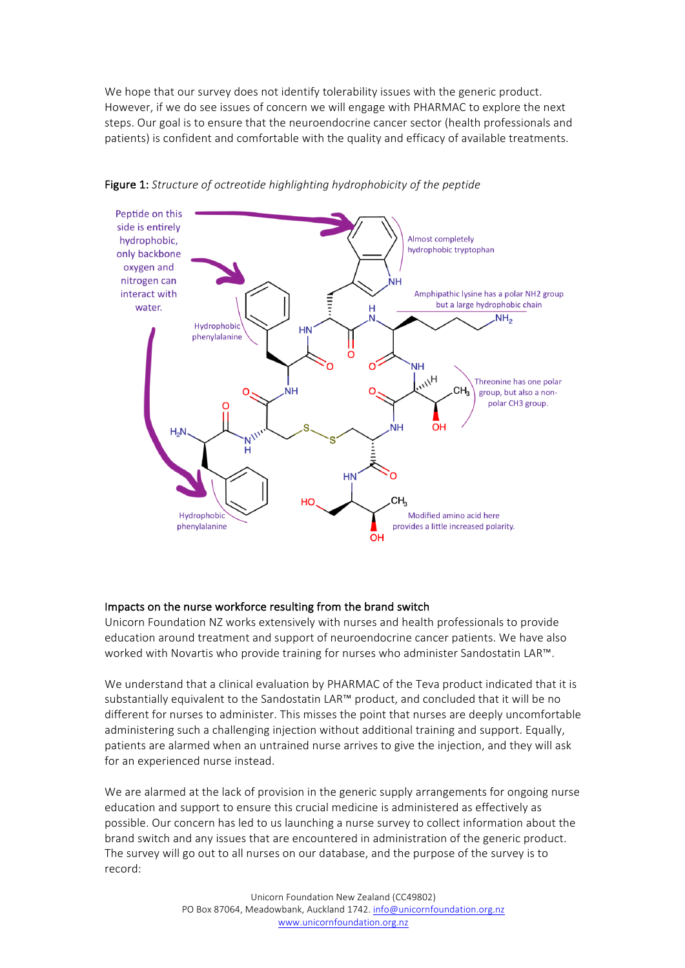We hope that our survey does not identify tolerability issues with the generic product. However, if we do see issues of concern we will engage with PHARMAC to explore the next steps. Our goal is to ensure that the neuroendocrine cancer sector (health professionals and patients) is confident and comfortable with the quality and efficacy of available treatments.



Figure 1: Structure of octreotide highlighting hydrophobicity of the peptide

## Impacts on the nurse workforce resulting from the brand switch

Unicorn Foundation NZ works extensively with nurses and health professionals to provide education around treatment and support of neuroendocrine cancer patients. We have also worked with Novartis who provide training for nurses who administer Sandostatin LAR™.

We understand that a clinical evaluation by PHARMAC of the Teva product indicated that it is substantially equivalent to the Sandostatin LAR™ product, and concluded that it will be no different for nurses to administer. This misses the point that nurses are deeply uncomfortable administering such a challenging injection without additional training and support. Equally, patients are alarmed when an untrained nurse arrives to give the injection, and they will ask for an experienced nurse instead.

We are alarmed at the lack of provision in the generic supply arrangements for ongoing nurse education and support to ensure this crucial medicine is administered as effectively as possible. Our concern has led to us launching a nurse survey to collect information about the brand switch and any issues that are encountered in administration of the generic product. The survey will go out to all nurses on our database, and the purpose of the survey is to record: